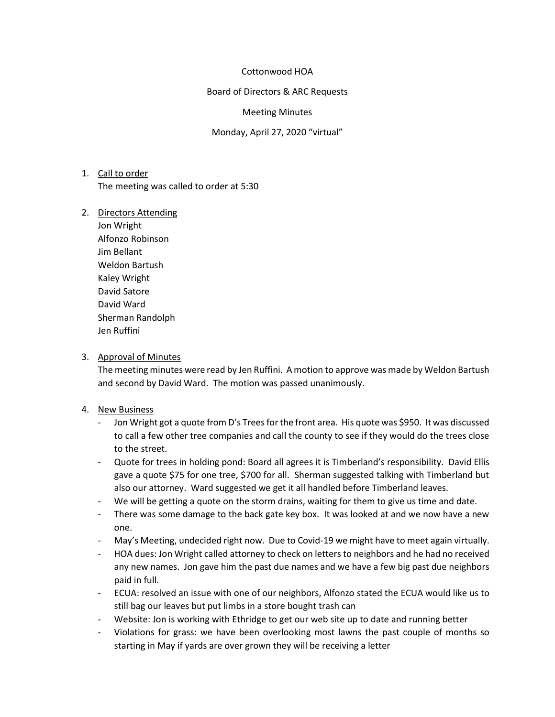#### Cottonwood HOA

Board of Directors & ARC Requests

#### Meeting Minutes

Monday, April 27, 2020 "virtual"

- 1. Call to order The meeting was called to order at 5:30
- 2. Directors Attending
	- Jon Wright Alfonzo Robinson Jim Bellant Weldon Bartush Kaley Wright David Satore David Ward Sherman Randolph Jen Ruffini

## 3. Approval of Minutes

The meeting minutes were read by Jen Ruffini. A motion to approve was made by Weldon Bartush and second by David Ward. The motion was passed unanimously.

#### 4. New Business

- Jon Wright got a quote from D's Trees for the front area. His quote was \$950. It was discussed to call a few other tree companies and call the county to see if they would do the trees close to the street.
- Quote for trees in holding pond: Board all agrees it is Timberland's responsibility. David Ellis gave a quote \$75 for one tree, \$700 for all. Sherman suggested talking with Timberland but also our attorney. Ward suggested we get it all handled before Timberland leaves.
- We will be getting a quote on the storm drains, waiting for them to give us time and date.
- There was some damage to the back gate key box. It was looked at and we now have a new one.
- May's Meeting, undecided right now. Due to Covid-19 we might have to meet again virtually.
- HOA dues: Jon Wright called attorney to check on letters to neighbors and he had no received any new names. Jon gave him the past due names and we have a few big past due neighbors paid in full.
- ECUA: resolved an issue with one of our neighbors, Alfonzo stated the ECUA would like us to still bag our leaves but put limbs in a store bought trash can
- Website: Jon is working with Ethridge to get our web site up to date and running better
- Violations for grass: we have been overlooking most lawns the past couple of months so starting in May if yards are over grown they will be receiving a letter